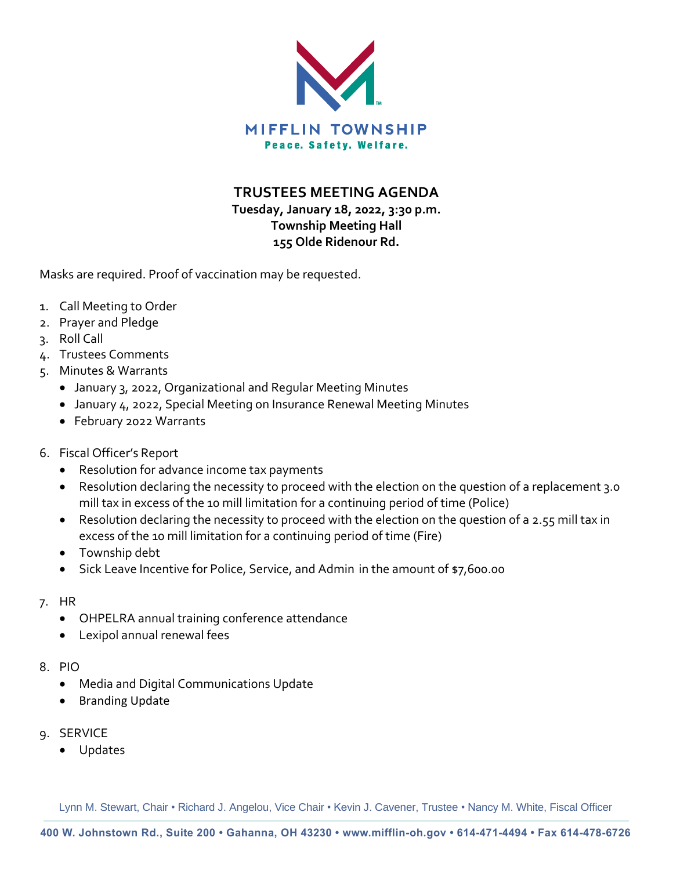

**TRUSTEES MEETING AGENDA**

**Tuesday, January 18, 2022, 3:30 p.m. Township Meeting Hall 155 Olde Ridenour Rd.**

Masks are required. Proof of vaccination may be requested.

- 1. Call Meeting to Order
- 2. Prayer and Pledge
- 3. Roll Call
- 4. Trustees Comments
- 5. Minutes & Warrants
	- January 3, 2022, Organizational and Regular Meeting Minutes
	- January 4, 2022, Special Meeting on Insurance Renewal Meeting Minutes
	- February 2022 Warrants
- 6. Fiscal Officer's Report
	- Resolution for advance income tax payments
	- Resolution declaring the necessity to proceed with the election on the question of a replacement 3.0 mill tax in excess of the 10 mill limitation for a continuing period of time (Police)
	- Resolution declaring the necessity to proceed with the election on the question of a 2.55 mill tax in excess of the 10 mill limitation for a continuing period of time (Fire)
	- Township debt
	- Sick Leave Incentive for Police, Service, and Admin in the amount of \$7,600.00
- 7. HR
	- OHPELRA annual training conference attendance
	- Lexipol annual renewal fees
- 8. PIO
	- Media and Digital Communications Update
	- Branding Update
- 9. SERVICE
	- Updates

Lynn M. Stewart, Chair • Richard J. Angelou, Vice Chair • Kevin J. Cavener, Trustee • Nancy M. White, Fiscal Officer